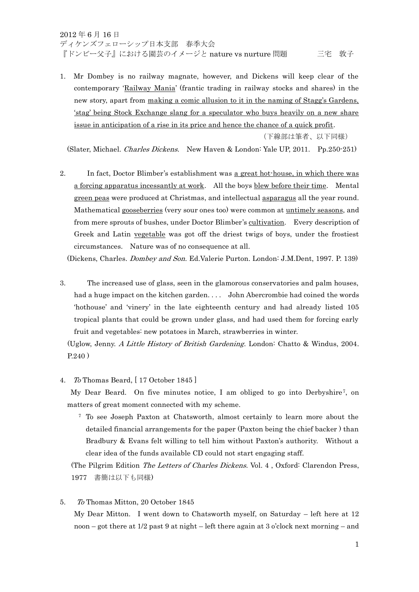1. Mr Dombey is no railway magnate, however, and Dickens will keep clear of the contemporary 'Railway Mania' (frantic trading in railway stocks and shares) in the new story, apart from making a comic allusion to it in the naming of Stagg's Gardens, 'stag' being Stock Exchange slang for a speculator who buys heavily on a new share issue in anticipation of a rise in its price and hence the chance of a quick profit.

(下線部は筆者、以下同様)

(Slater, Michael. Charles Dickens. New Haven & London: Yale UP, 2011. Pp.250-251)

2. In fact, Doctor Blimber's establishment was a great hot-house, in which there was a forcing apparatus incessantly at work. All the boys blew before their time. Mental green peas were produced at Christmas, and intellectual asparagus all the year round. Mathematical gooseberries (very sour ones too) were common at untimely seasons, and from mere sprouts of bushes, under Doctor Blimber's cultivation. Every description of Greek and Latin vegetable was got off the driest twigs of boys, under the frostiest circumstances. Nature was of no consequence at all.

(Dickens, Charles. Dombey and Son. Ed.Valerie Purton. London: J.M.Dent, 1997. P. 139)

3. The increased use of glass, seen in the glamorous conservatories and palm houses, had a huge impact on the kitchen garden. . . . John Abercrombie had coined the words 'hothouse' and 'vinery' in the late eighteenth century and had already listed 105 tropical plants that could be grown under glass, and had used them for forcing early fruit and vegetables: new potatoes in March, strawberries in winter.

(Uglow, Jenny. A Little History of British Gardening. London: Chatto & Windus, 2004. P.240 )

4. To Thomas Beard, [ 17 October 1845 ]

5. To Thomas Mitton, 20 October 1845

My Dear Beard. On five minutes notice, I am obliged to go into Derbyshire<sup>7</sup>, on matters of great moment connected with my scheme.

<sup>7</sup>To see Joseph Paxton at Chatsworth, almost certainly to learn more about the detailed financial arrangements for the paper (Paxton being the chief backer ) than Bradbury & Evans felt willing to tell him without Paxton's authority. Without a clear idea of the funds available CD could not start engaging staff.

(The Pilgrim Edition The Letters of Charles Dickens. Vol. 4 , Oxford: Clarendon Press, 1977 書簡は以下も同様)

My Dear Mitton. I went down to Chatsworth myself, on Saturday – left here at 12 noon – got there at 1/2 past 9 at night – left there again at 3 o'clock next morning – and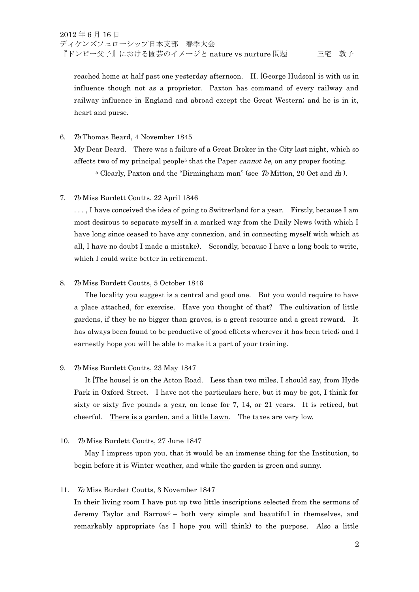reached home at half past one yesterday afternoon. H. [George Hudson] is with us in influence though not as a proprietor. Paxton has command of every railway and railway influence in England and abroad except the Great Western; and he is in it, heart and purse.

6. To Thomas Beard, 4 November 1845 My Dear Beard. There was a failure of a Great Broker in the City last night, which so affects two of my principal people<sup>5</sup> that the Paper *cannot be*, on any proper footing.

<sup>5</sup> Clearly, Paxton and the "Birmingham man" (see To Mitton, 20 Oct and  $fn$ ).

7. To Miss Burdett Coutts, 22 April 1846

. . . , I have conceived the idea of going to Switzerland for a year. Firstly, because I am most desirous to separate myself in a marked way from the Daily News (with which I have long since ceased to have any connexion, and in connecting myself with which at all, I have no doubt I made a mistake). Secondly, because I have a long book to write, which I could write better in retirement.

## 8. To Miss Burdett Coutts, 5 October 1846

 The locality you suggest is a central and good one. But you would require to have a place attached, for exercise. Have you thought of that? The cultivation of little gardens, if they be no bigger than graves, is a great resource and a great reward. It has always been found to be productive of good effects wherever it has been tried; and I earnestly hope you will be able to make it a part of your training.

## 9. To Miss Burdett Coutts, 23 May 1847

 It [The house] is on the Acton Road. Less than two miles, I should say, from Hyde Park in Oxford Street. I have not the particulars here, but it may be got, I think for sixty or sixty five pounds a year, on lease for 7, 14, or 21 years. It is retired, but cheerful. There is a garden, and a little Lawn. The taxes are very low.

## 10. To Miss Burdett Coutts, 27 June 1847

 May I impress upon you, that it would be an immense thing for the Institution, to begin before it is Winter weather, and while the garden is green and sunny.

## 11. To Miss Burdett Coutts, 3 November 1847

 In their living room I have put up two little inscriptions selected from the sermons of Jeremy Taylor and Barrow3 – both very simple and beautiful in themselves, and remarkably appropriate (as I hope you will think) to the purpose. Also a little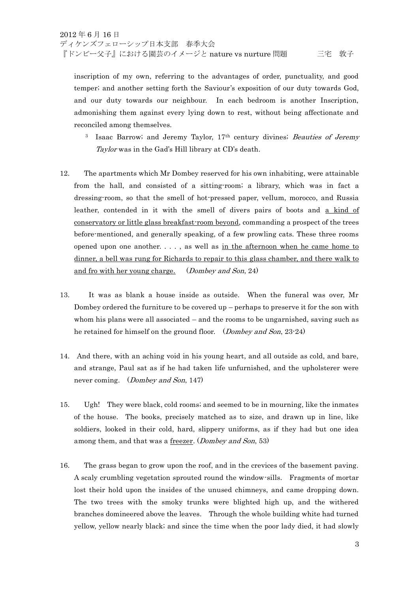inscription of my own, referring to the advantages of order, punctuality, and good temper; and another setting forth the Saviour's exposition of our duty towards God, and our duty towards our neighbour. In each bedroom is another Inscription, admonishing them against every lying down to rest, without being affectionate and reconciled among themselves.

- <sup>3</sup> Isaac Barrow; and Jeremy Taylor, 17<sup>th</sup> century divines; Beauties of Jeremy Taylor was in the Gad's Hill library at CD's death.
- 12. The apartments which Mr Dombey reserved for his own inhabiting, were attainable from the hall, and consisted of a sitting-room; a library, which was in fact a dressing-room, so that the smell of hot-pressed paper, vellum, morocco, and Russia leather, contended in it with the smell of divers pairs of boots and a kind of conservatory or little glass breakfast-room beyond, commanding a prospect of the trees before-mentioned, and generally speaking, of a few prowling cats. These three rooms opened upon one another. . . . , as well as in the afternoon when he came home to dinner, a bell was rung for Richards to repair to this glass chamber, and there walk to and fro with her young charge. (Dombey and Son, 24)
- 13. It was as blank a house inside as outside. When the funeral was over, Mr Dombey ordered the furniture to be covered  $up$  – perhaps to preserve it for the son with whom his plans were all associated – and the rooms to be ungarnished, saving such as he retained for himself on the ground floor. (*Dombey and Son*, 23-24)
- 14. And there, with an aching void in his young heart, and all outside as cold, and bare, and strange, Paul sat as if he had taken life unfurnished, and the upholsterer were never coming. (Dombey and Son, 147)
- 15. Ugh! They were black, cold rooms; and seemed to be in mourning, like the inmates of the house. The books, precisely matched as to size, and drawn up in line, like soldiers, looked in their cold, hard, slippery uniforms, as if they had but one idea among them, and that was a freezer. (Dombey and Son, 53)
- 16. The grass began to grow upon the roof, and in the crevices of the basement paving. A scaly crumbling vegetation sprouted round the window-sills. Fragments of mortar lost their hold upon the insides of the unused chimneys, and came dropping down. The two trees with the smoky trunks were blighted high up, and the withered branches domineered above the leaves. Through the whole building white had turned yellow, yellow nearly black; and since the time when the poor lady died, it had slowly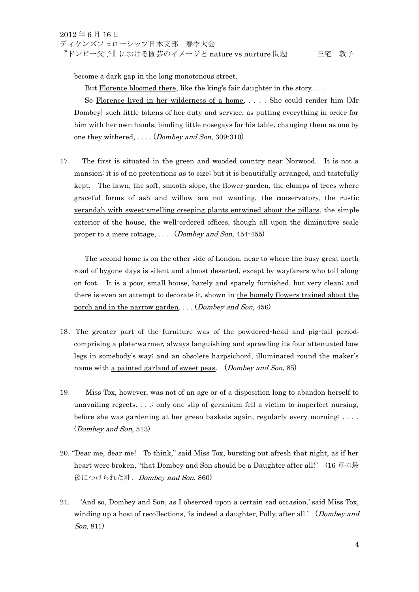become a dark gap in the long monotonous street.

But Florence bloomed there, like the king's fair daughter in the story....

So Florence lived in her wilderness of a home, .... She could render him [Mr Dombey] such little tokens of her duty and service, as putting everything in order for him with her own hands, binding little nosegays for his table, changing them as one by one they withered, . . . . (Dombey and Son, 309-310)

17. The first is situated in the green and wooded country near Norwood. It is not a mansion; it is of no pretentions as to size; but it is beautifully arranged, and tastefully kept. The lawn, the soft, smooth slope, the flower-garden, the clumps of trees where graceful forms of ash and willow are not wanting, the conservatory, the rustic verandah with sweet-smelling creeping plants entwined about the pillars, the simple exterior of the house, the well-ordered offices, though all upon the diminutive scale proper to a mere cottage,  $\dots$  (Dombey and Son, 454-455)

 The second home is on the other side of London, near to where the busy great north road of bygone days is silent and almost deserted, except by wayfarers who toil along on foot. It is a poor, small house, barely and sparely furnished, but very clean; and there is even an attempt to decorate it, shown in the homely flowers trained about the porch and in the narrow garden. . . . (Dombey and Son, 456)

- 18.The greater part of the furniture was of the powdered-head and pig-tail period: comprising a plate-warmer, always languishing and sprawling its four attenuated bow legs in somebody's way; and an obsolete harpsichord, illuminated round the maker's name with <u>a painted garland of sweet peas</u>. (*Dombey and Son*, 85)
- 19. Miss Tox, however, was not of an age or of a disposition long to abandon herself to unavailing regrets.  $\ldots$  is only one slip of geranium fell a victim to imperfect nursing. before she was gardening at her green baskets again, regularly every morning; . . . . (Dombey and Son, 513)
- 20. "Dear me, dear me! To think," said Miss Tox, bursting out afresh that night, as if her heart were broken, "that Dombey and Son should be a Daughter after all!" (16 章の最 後につけられた註、Dombey and Son, 860)
- 21. 'And so, Dombey and Son, as I observed upon a certain sad occasion,' said Miss Tox, winding up a host of recollections, 'is indeed a daughter, Polly, after all.' (*Dombey and* Son, 811)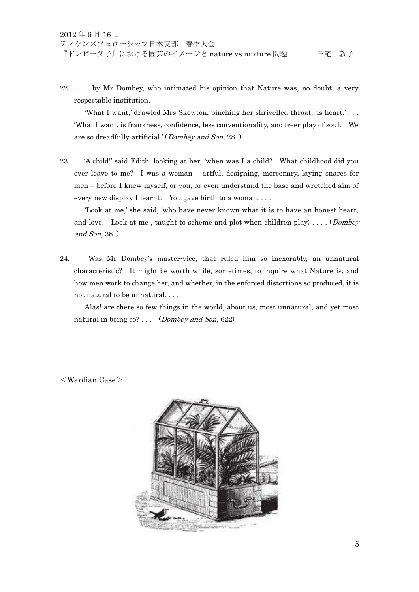22. . . . by Mr Dombey, who intimated his opinion that Nature was, no doubt, a very respectable institution.

 'What I want,' drawled Mrs Skewton, pinching her shrivelled throat, 'is heart.' . . . 'What I want, is frankness, confidence, less conventionality, and freer play of soul. We are so dreadfully artificial.' (Dombey and Son, 281)

23. 'A child!' said Edith, looking at her, 'when was I a child? What childhood did you ever leave to me? I was a woman – artful, designing, mercenary, laying snares for men – before I knew myself, or you, or even understand the base and wretched aim of every new display I learnt. You gave birth to a woman. . . .

 'Look at me,' she said, 'who have never known what it is to have an honest heart, and love. Look at me, taught to scheme and plot when children play;  $\dots$  (*Dombey* and Son, 381)

24. Was Mr Dombey's master-vice, that ruled him so inexorably, an unnatural characteristic? It might be worth while, sometimes, to inquire what Nature is, and how men work to change her, and whether, in the enforced distortions so produced, it is not natural to be unnatural. . . .

 Alas! are there so few things in the world, about us, most unnatural, and yet most natural in being so? ... (*Dombey and Son*, 622)

<Wardian Case>